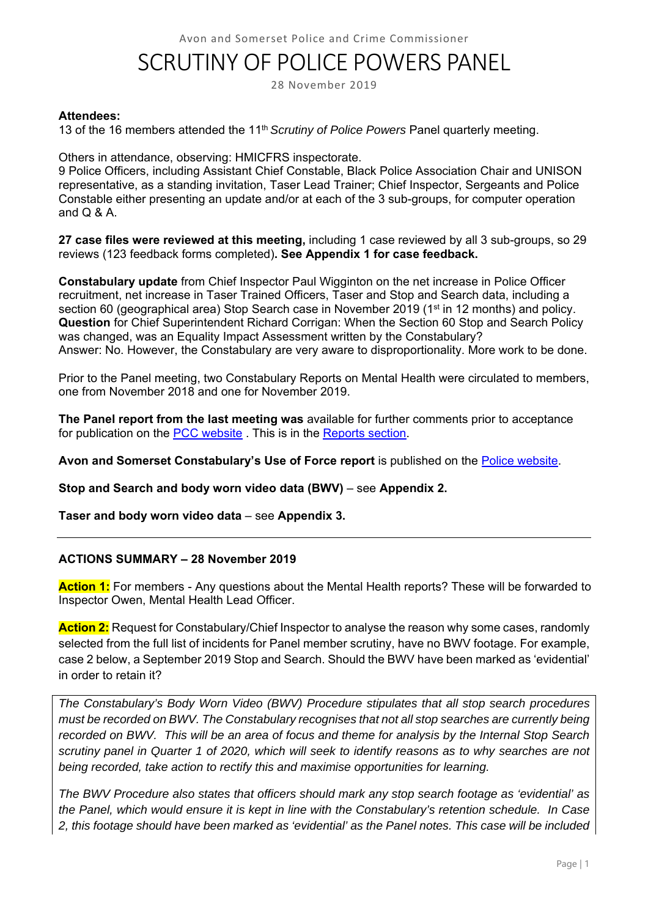# SCRUTINY OF POLICE POWERS PANEL

28 November 2019

#### **Attendees:**

13 of the 16 members attended the 11th *Scrutiny of Police Powers* Panel quarterly meeting.

Others in attendance, observing: HMICFRS inspectorate.

9 Police Officers, including Assistant Chief Constable, Black Police Association Chair and UNISON representative, as a standing invitation, Taser Lead Trainer; Chief Inspector, Sergeants and Police Constable either presenting an update and/or at each of the 3 sub-groups, for computer operation and Q & A.

**27 case files were reviewed at this meeting,** including 1 case reviewed by all 3 sub-groups, so 29 reviews (123 feedback forms completed)**. See Appendix 1 for case feedback.** 

**Constabulary update** from Chief Inspector Paul Wigginton on the net increase in Police Officer recruitment, net increase in Taser Trained Officers, Taser and Stop and Search data, including a section 60 (geographical area) Stop Search case in November 2019 (1<sup>st</sup> in 12 months) and policy. **Question** for Chief Superintendent Richard Corrigan: When the Section 60 Stop and Search Policy was changed, was an Equality Impact Assessment written by the Constabulary? Answer: No. However, the Constabulary are very aware to disproportionality. More work to be done.

Prior to the Panel meeting, two Constabulary Reports on Mental Health were circulated to members, one from November 2018 and one for November 2019.

**The Panel report from the last meeting was** available for further comments prior to acceptance for publication on the PCC website . This is in the Reports section.

**Avon and Somerset Constabulary's Use of Force report** is published on the Police website.

**Stop and Search and body worn video data (BWV)** – see **Appendix 2.** 

**Taser and body worn video data** – see **Appendix 3.** 

#### **ACTIONS SUMMARY – 28 November 2019**

**Action 1:** For members - Any questions about the Mental Health reports? These will be forwarded to Inspector Owen, Mental Health Lead Officer.

**Action 2:** Request for Constabulary/Chief Inspector to analyse the reason why some cases, randomly selected from the full list of incidents for Panel member scrutiny, have no BWV footage. For example, case 2 below, a September 2019 Stop and Search. Should the BWV have been marked as 'evidential' in order to retain it?

*The Constabulary's Body Worn Video (BWV) Procedure stipulates that all stop search procedures must be recorded on BWV. The Constabulary recognises that not all stop searches are currently being recorded on BWV. This will be an area of focus and theme for analysis by the Internal Stop Search scrutiny panel in Quarter 1 of 2020, which will seek to identify reasons as to why searches are not being recorded, take action to rectify this and maximise opportunities for learning.* 

*The BWV Procedure also states that officers should mark any stop search footage as 'evidential' as the Panel, which would ensure it is kept in line with the Constabulary's retention schedule. In Case 2, this footage should have been marked as 'evidential' as the Panel notes. This case will be included*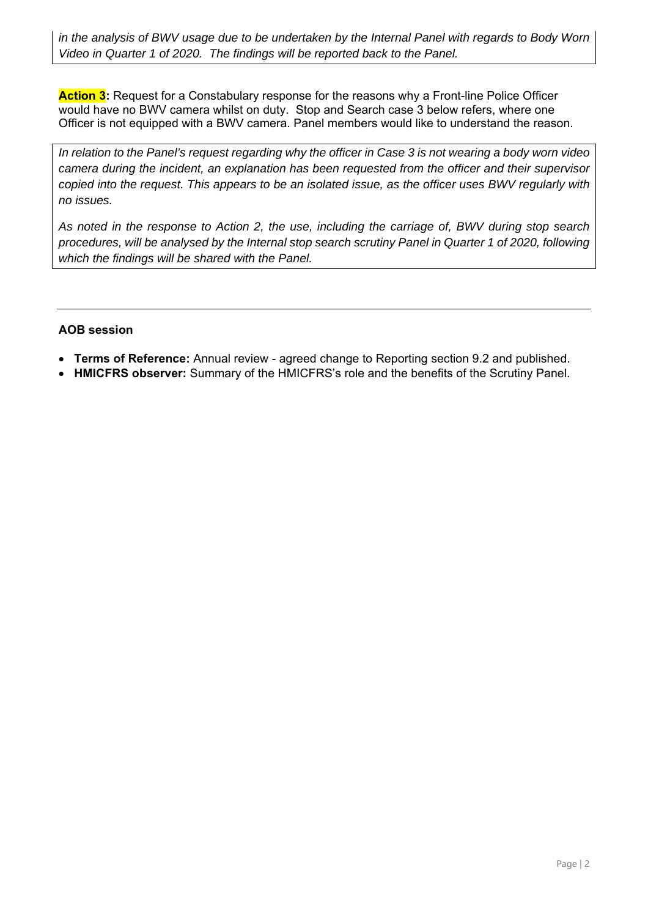*in the analysis of BWV usage due to be undertaken by the Internal Panel with regards to Body Worn Video in Quarter 1 of 2020. The findings will be reported back to the Panel.* 

**Action 3:** Request for a Constabulary response for the reasons why a Front-line Police Officer would have no BWV camera whilst on duty. Stop and Search case 3 below refers, where one Officer is not equipped with a BWV camera. Panel members would like to understand the reason.

*In relation to the Panel's request regarding why the officer in Case 3 is not wearing a body worn video camera during the incident, an explanation has been requested from the officer and their supervisor copied into the request. This appears to be an isolated issue, as the officer uses BWV regularly with no issues.* 

*As noted in the response to Action 2, the use, including the carriage of, BWV during stop search procedures, will be analysed by the Internal stop search scrutiny Panel in Quarter 1 of 2020, following which the findings will be shared with the Panel.* 

#### **AOB session**

- **Terms of Reference:** Annual review agreed change to Reporting section 9.2 and published.
- **HMICFRS observer:** Summary of the HMICFRS's role and the benefits of the Scrutiny Panel.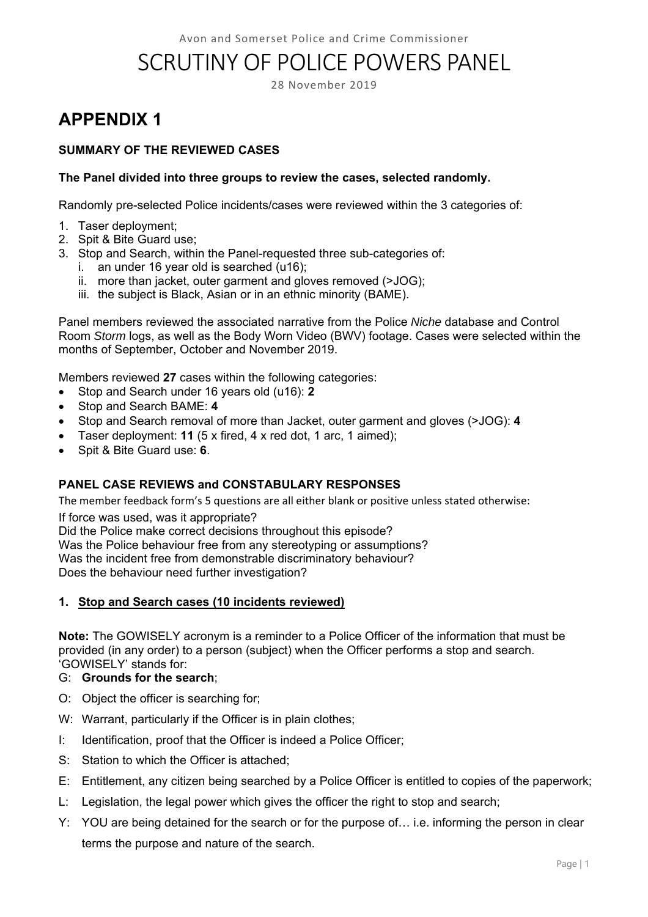# SCRUTINY OF POLICE POWERS PANEL

28 November 2019

# **APPENDIX 1**

#### **SUMMARY OF THE REVIEWED CASES**

#### **The Panel divided into three groups to review the cases, selected randomly.**

Randomly pre-selected Police incidents/cases were reviewed within the 3 categories of:

- 1. Taser deployment;
- 2. Spit & Bite Guard use;
- 3. Stop and Search, within the Panel-requested three sub-categories of:
	- i. an under 16 year old is searched (u16);
	- ii. more than jacket, outer garment and gloves removed (>JOG);
	- iii. the subject is Black, Asian or in an ethnic minority (BAME).

Panel members reviewed the associated narrative from the Police *Niche* database and Control Room *Storm* logs, as well as the Body Worn Video (BWV) footage. Cases were selected within the months of September, October and November 2019.

Members reviewed **27** cases within the following categories:

- Stop and Search under 16 years old (u16): **2**
- Stop and Search BAME: **4**
- Stop and Search removal of more than Jacket, outer garment and gloves (>JOG): **4**
- Taser deployment: **11** (5 x fired, 4 x red dot, 1 arc, 1 aimed);
- Spit & Bite Guard use: **6**.

#### **PANEL CASE REVIEWS and CONSTABULARY RESPONSES**

The member feedback form's 5 questions are all either blank or positive unless stated otherwise:

If force was used, was it appropriate?

Did the Police make correct decisions throughout this episode?

Was the Police behaviour free from any stereotyping or assumptions?

Was the incident free from demonstrable discriminatory behaviour?

Does the behaviour need further investigation?

#### **1. Stop and Search cases (10 incidents reviewed)**

**Note:** The GOWISELY acronym is a reminder to a Police Officer of the information that must be provided (in any order) to a person (subject) when the Officer performs a stop and search. 'GOWISELY' stands for:

#### G: **Grounds for the search**;

- O: Object the officer is searching for;
- W: Warrant, particularly if the Officer is in plain clothes;
- I: Identification, proof that the Officer is indeed a Police Officer;
- S: Station to which the Officer is attached;
- E: Entitlement, any citizen being searched by a Police Officer is entitled to copies of the paperwork;
- L: Legislation, the legal power which gives the officer the right to stop and search;
- Y: YOU are being detained for the search or for the purpose of… i.e. informing the person in clear terms the purpose and nature of the search.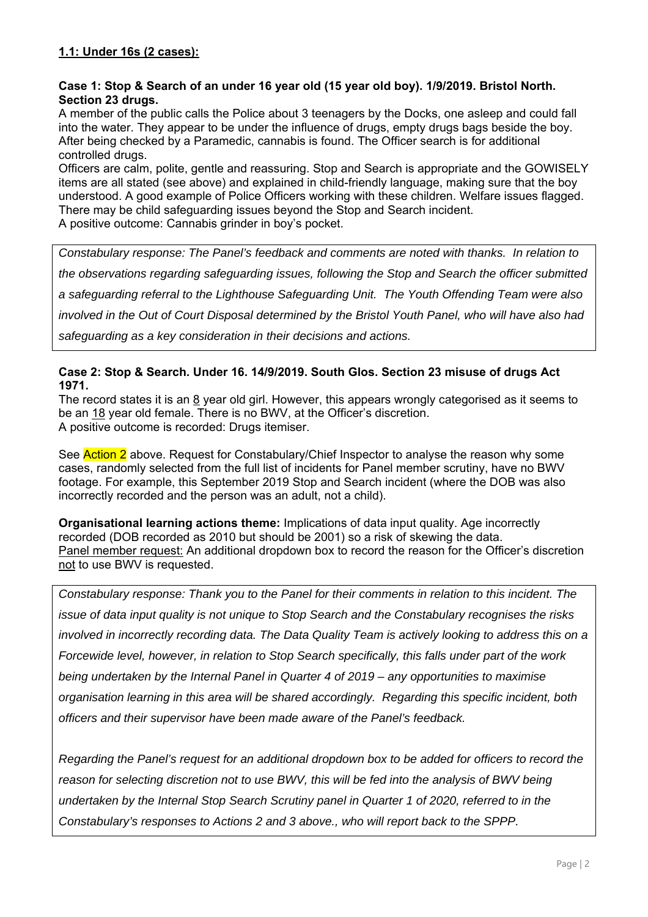#### **Case 1: Stop & Search of an under 16 year old (15 year old boy). 1/9/2019. Bristol North. Section 23 drugs.**

A member of the public calls the Police about 3 teenagers by the Docks, one asleep and could fall into the water. They appear to be under the influence of drugs, empty drugs bags beside the boy. After being checked by a Paramedic, cannabis is found. The Officer search is for additional controlled drugs.

Officers are calm, polite, gentle and reassuring. Stop and Search is appropriate and the GOWISELY items are all stated (see above) and explained in child-friendly language, making sure that the boy understood. A good example of Police Officers working with these children. Welfare issues flagged. There may be child safeguarding issues beyond the Stop and Search incident. A positive outcome: Cannabis grinder in boy's pocket.

*Constabulary response: The Panel's feedback and comments are noted with thanks. In relation to the observations regarding safeguarding issues, following the Stop and Search the officer submitted a safeguarding referral to the Lighthouse Safeguarding Unit. The Youth Offending Team were also involved in the Out of Court Disposal determined by the Bristol Youth Panel, who will have also had safeguarding as a key consideration in their decisions and actions.* 

#### **Case 2: Stop & Search. Under 16. 14/9/2019. South Glos. Section 23 misuse of drugs Act 1971.**

The record states it is an 8 year old girl. However, this appears wrongly categorised as it seems to be an 18 year old female. There is no BWV, at the Officer's discretion. A positive outcome is recorded: Drugs itemiser.

See Action 2 above. Request for Constabulary/Chief Inspector to analyse the reason why some cases, randomly selected from the full list of incidents for Panel member scrutiny, have no BWV footage. For example, this September 2019 Stop and Search incident (where the DOB was also incorrectly recorded and the person was an adult, not a child).

**Organisational learning actions theme:** Implications of data input quality. Age incorrectly recorded (DOB recorded as 2010 but should be 2001) so a risk of skewing the data. Panel member request: An additional dropdown box to record the reason for the Officer's discretion not to use BWV is requested.

*Constabulary response: Thank you to the Panel for their comments in relation to this incident. The issue of data input quality is not unique to Stop Search and the Constabulary recognises the risks involved in incorrectly recording data. The Data Quality Team is actively looking to address this on a Forcewide level, however, in relation to Stop Search specifically, this falls under part of the work being undertaken by the Internal Panel in Quarter 4 of 2019 – any opportunities to maximise organisation learning in this area will be shared accordingly. Regarding this specific incident, both officers and their supervisor have been made aware of the Panel's feedback.* 

*Regarding the Panel's request for an additional dropdown box to be added for officers to record the reason for selecting discretion not to use BWV, this will be fed into the analysis of BWV being undertaken by the Internal Stop Search Scrutiny panel in Quarter 1 of 2020, referred to in the Constabulary's responses to Actions 2 and 3 above., who will report back to the SPPP.*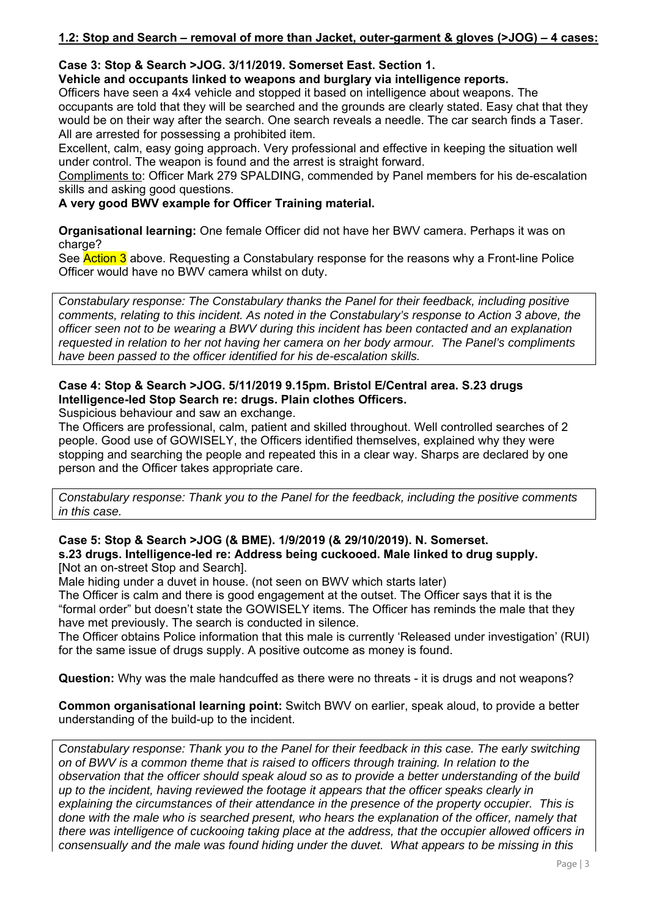#### **1.2: Stop and Search – removal of more than Jacket, outer-garment & gloves (>JOG) – 4 cases:**

#### **Case 3: Stop & Search >JOG. 3/11/2019. Somerset East. Section 1.**

**Vehicle and occupants linked to weapons and burglary via intelligence reports.** 

Officers have seen a 4x4 vehicle and stopped it based on intelligence about weapons. The occupants are told that they will be searched and the grounds are clearly stated. Easy chat that they would be on their way after the search. One search reveals a needle. The car search finds a Taser. All are arrested for possessing a prohibited item.

Excellent, calm, easy going approach. Very professional and effective in keeping the situation well under control. The weapon is found and the arrest is straight forward.

Compliments to: Officer Mark 279 SPALDING, commended by Panel members for his de-escalation skills and asking good questions.

**A very good BWV example for Officer Training material.** 

**Organisational learning:** One female Officer did not have her BWV camera. Perhaps it was on charge?

See Action 3 above. Requesting a Constabulary response for the reasons why a Front-line Police Officer would have no BWV camera whilst on duty.

*Constabulary response: The Constabulary thanks the Panel for their feedback, including positive comments, relating to this incident. As noted in the Constabulary's response to Action 3 above, the officer seen not to be wearing a BWV during this incident has been contacted and an explanation requested in relation to her not having her camera on her body armour. The Panel's compliments have been passed to the officer identified for his de-escalation skills.* 

### **Case 4: Stop & Search >JOG. 5/11/2019 9.15pm. Bristol E/Central area. S.23 drugs Intelligence-led Stop Search re: drugs. Plain clothes Officers.**

Suspicious behaviour and saw an exchange.

The Officers are professional, calm, patient and skilled throughout. Well controlled searches of 2 people. Good use of GOWISELY, the Officers identified themselves, explained why they were stopping and searching the people and repeated this in a clear way. Sharps are declared by one person and the Officer takes appropriate care.

*Constabulary response: Thank you to the Panel for the feedback, including the positive comments in this case.* 

#### **Case 5: Stop & Search >JOG (& BME). 1/9/2019 (& 29/10/2019). N. Somerset. s.23 drugs. Intelligence-led re: Address being cuckooed. Male linked to drug supply.**  [Not an on-street Stop and Search].

Male hiding under a duvet in house. (not seen on BWV which starts later)

The Officer is calm and there is good engagement at the outset. The Officer says that it is the "formal order" but doesn't state the GOWISELY items. The Officer has reminds the male that they have met previously. The search is conducted in silence.

The Officer obtains Police information that this male is currently 'Released under investigation' (RUI) for the same issue of drugs supply. A positive outcome as money is found.

**Question:** Why was the male handcuffed as there were no threats - it is drugs and not weapons?

**Common organisational learning point:** Switch BWV on earlier, speak aloud, to provide a better understanding of the build-up to the incident.

*Constabulary response: Thank you to the Panel for their feedback in this case. The early switching on of BWV is a common theme that is raised to officers through training. In relation to the observation that the officer should speak aloud so as to provide a better understanding of the build up to the incident, having reviewed the footage it appears that the officer speaks clearly in explaining the circumstances of their attendance in the presence of the property occupier. This is done with the male who is searched present, who hears the explanation of the officer, namely that there was intelligence of cuckooing taking place at the address, that the occupier allowed officers in consensually and the male was found hiding under the duvet. What appears to be missing in this*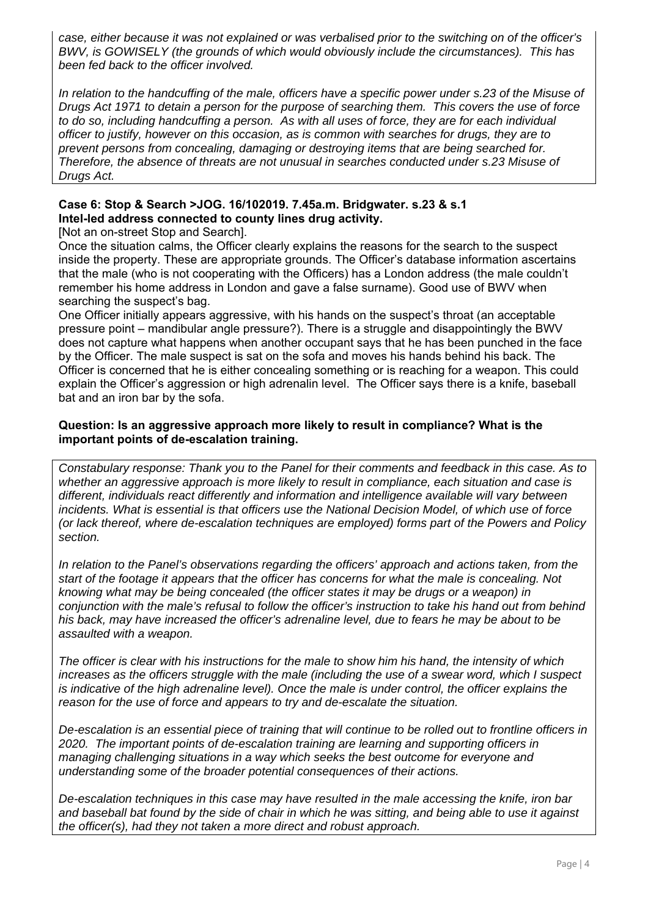*case, either because it was not explained or was verbalised prior to the switching on of the officer's BWV, is GOWISELY (the grounds of which would obviously include the circumstances). This has been fed back to the officer involved.* 

*In relation to the handcuffing of the male, officers have a specific power under s.23 of the Misuse of Drugs Act 1971 to detain a person for the purpose of searching them. This covers the use of force to do so, including handcuffing a person. As with all uses of force, they are for each individual officer to justify, however on this occasion, as is common with searches for drugs, they are to prevent persons from concealing, damaging or destroying items that are being searched for. Therefore, the absence of threats are not unusual in searches conducted under s.23 Misuse of Drugs Act.* 

#### **Case 6: Stop & Search >JOG. 16/102019. 7.45a.m. Bridgwater. s.23 & s.1 Intel-led address connected to county lines drug activity.**

[Not an on-street Stop and Search].

Once the situation calms, the Officer clearly explains the reasons for the search to the suspect inside the property. These are appropriate grounds. The Officer's database information ascertains that the male (who is not cooperating with the Officers) has a London address (the male couldn't remember his home address in London and gave a false surname). Good use of BWV when searching the suspect's bag.

One Officer initially appears aggressive, with his hands on the suspect's throat (an acceptable pressure point – mandibular angle pressure?). There is a struggle and disappointingly the BWV does not capture what happens when another occupant says that he has been punched in the face by the Officer. The male suspect is sat on the sofa and moves his hands behind his back. The Officer is concerned that he is either concealing something or is reaching for a weapon. This could explain the Officer's aggression or high adrenalin level. The Officer says there is a knife, baseball bat and an iron bar by the sofa.

#### **Question: Is an aggressive approach more likely to result in compliance? What is the important points of de-escalation training.**

*Constabulary response: Thank you to the Panel for their comments and feedback in this case. As to whether an aggressive approach is more likely to result in compliance, each situation and case is different, individuals react differently and information and intelligence available will vary between incidents. What is essential is that officers use the National Decision Model, of which use of force (or lack thereof, where de-escalation techniques are employed) forms part of the Powers and Policy section.* 

*In relation to the Panel's observations regarding the officers' approach and actions taken, from the start of the footage it appears that the officer has concerns for what the male is concealing. Not knowing what may be being concealed (the officer states it may be drugs or a weapon) in conjunction with the male's refusal to follow the officer's instruction to take his hand out from behind his back, may have increased the officer's adrenaline level, due to fears he may be about to be assaulted with a weapon.* 

*The officer is clear with his instructions for the male to show him his hand, the intensity of which increases as the officers struggle with the male (including the use of a swear word, which I suspect is indicative of the high adrenaline level). Once the male is under control, the officer explains the reason for the use of force and appears to try and de-escalate the situation.* 

*De-escalation is an essential piece of training that will continue to be rolled out to frontline officers in 2020. The important points of de-escalation training are learning and supporting officers in managing challenging situations in a way which seeks the best outcome for everyone and understanding some of the broader potential consequences of their actions.* 

*De-escalation techniques in this case may have resulted in the male accessing the knife, iron bar and baseball bat found by the side of chair in which he was sitting, and being able to use it against the officer(s), had they not taken a more direct and robust approach.*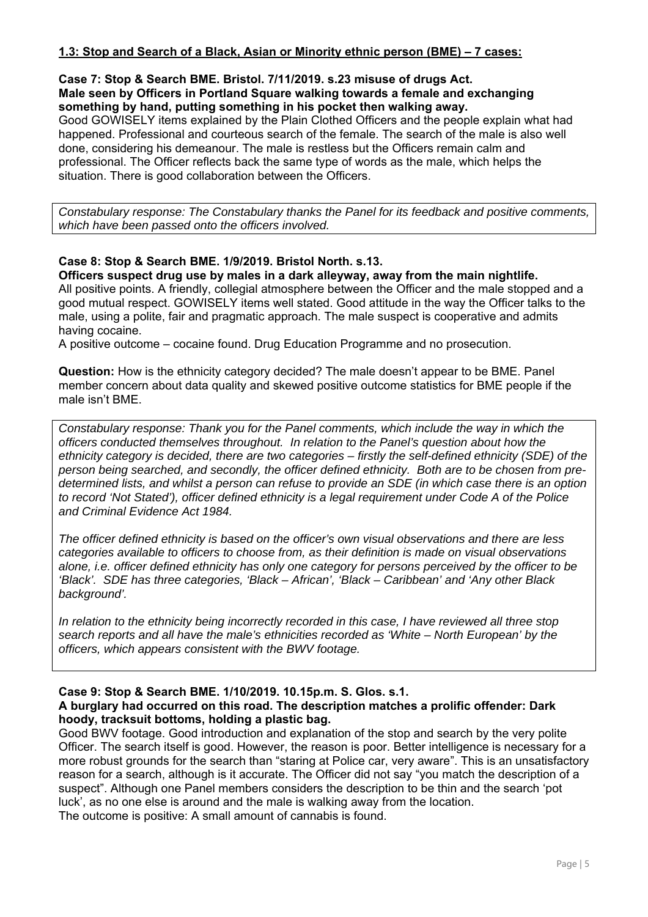#### **1.3: Stop and Search of a Black, Asian or Minority ethnic person (BME) – 7 cases:**

#### **Case 7: Stop & Search BME. Bristol. 7/11/2019. s.23 misuse of drugs Act. Male seen by Officers in Portland Square walking towards a female and exchanging something by hand, putting something in his pocket then walking away.**

Good GOWISELY items explained by the Plain Clothed Officers and the people explain what had happened. Professional and courteous search of the female. The search of the male is also well done, considering his demeanour. The male is restless but the Officers remain calm and professional. The Officer reflects back the same type of words as the male, which helps the situation. There is good collaboration between the Officers.

*Constabulary response: The Constabulary thanks the Panel for its feedback and positive comments, which have been passed onto the officers involved.* 

#### **Case 8: Stop & Search BME. 1/9/2019. Bristol North. s.13. Officers suspect drug use by males in a dark alleyway, away from the main nightlife.**

All positive points. A friendly, collegial atmosphere between the Officer and the male stopped and a good mutual respect. GOWISELY items well stated. Good attitude in the way the Officer talks to the male, using a polite, fair and pragmatic approach. The male suspect is cooperative and admits having cocaine.

A positive outcome – cocaine found. Drug Education Programme and no prosecution.

**Question:** How is the ethnicity category decided? The male doesn't appear to be BME. Panel member concern about data quality and skewed positive outcome statistics for BME people if the male isn't BME.

*Constabulary response: Thank you for the Panel comments, which include the way in which the officers conducted themselves throughout. In relation to the Panel's question about how the ethnicity category is decided, there are two categories – firstly the self-defined ethnicity (SDE) of the person being searched, and secondly, the officer defined ethnicity. Both are to be chosen from predetermined lists, and whilst a person can refuse to provide an SDE (in which case there is an option to record 'Not Stated'), officer defined ethnicity is a legal requirement under Code A of the Police and Criminal Evidence Act 1984.* 

*The officer defined ethnicity is based on the officer's own visual observations and there are less categories available to officers to choose from, as their definition is made on visual observations alone, i.e. officer defined ethnicity has only one category for persons perceived by the officer to be 'Black'. SDE has three categories, 'Black – African', 'Black – Caribbean' and 'Any other Black background'.* 

*In relation to the ethnicity being incorrectly recorded in this case, I have reviewed all three stop search reports and all have the male's ethnicities recorded as 'White – North European' by the officers, which appears consistent with the BWV footage.* 

#### **Case 9: Stop & Search BME. 1/10/2019. 10.15p.m. S. Glos. s.1. A burglary had occurred on this road. The description matches a prolific offender: Dark hoody, tracksuit bottoms, holding a plastic bag.**

Good BWV footage. Good introduction and explanation of the stop and search by the very polite Officer. The search itself is good. However, the reason is poor. Better intelligence is necessary for a more robust grounds for the search than "staring at Police car, very aware". This is an unsatisfactory reason for a search, although is it accurate. The Officer did not say "you match the description of a suspect". Although one Panel members considers the description to be thin and the search 'pot luck', as no one else is around and the male is walking away from the location. The outcome is positive: A small amount of cannabis is found.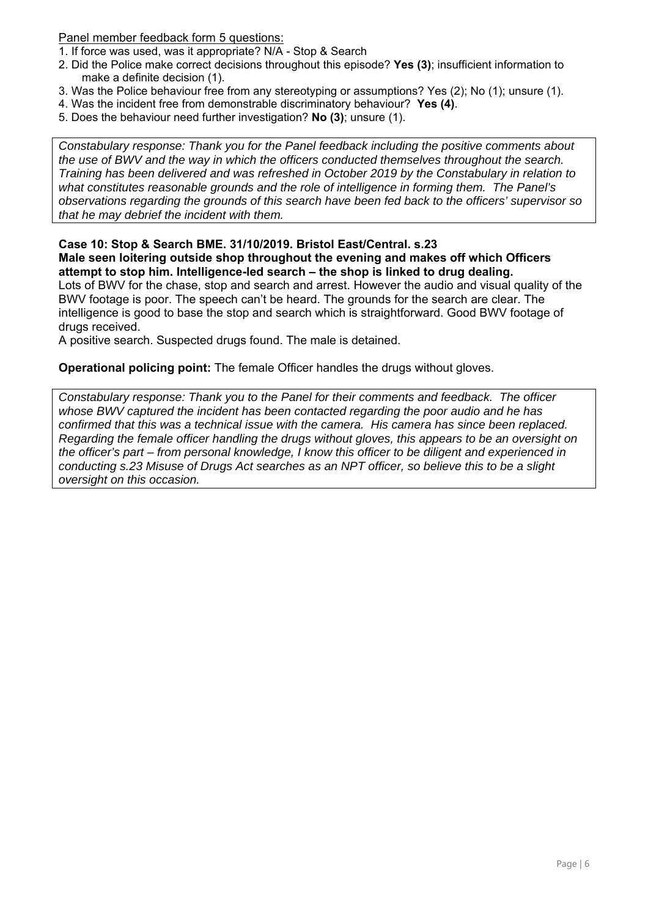#### Panel member feedback form 5 questions:

- 1. If force was used, was it appropriate? N/A Stop & Search
- 2. Did the Police make correct decisions throughout this episode? **Yes (3)**; insufficient information to make a definite decision (1).
- 3. Was the Police behaviour free from any stereotyping or assumptions? Yes (2); No (1); unsure (1).
- 4. Was the incident free from demonstrable discriminatory behaviour? **Yes (4)**.
- 5. Does the behaviour need further investigation? **No (3)**; unsure (1).

*Constabulary response: Thank you for the Panel feedback including the positive comments about the use of BWV and the way in which the officers conducted themselves throughout the search. Training has been delivered and was refreshed in October 2019 by the Constabulary in relation to what constitutes reasonable grounds and the role of intelligence in forming them. The Panel's observations regarding the grounds of this search have been fed back to the officers' supervisor so that he may debrief the incident with them.* 

#### **Case 10: Stop & Search BME. 31/10/2019. Bristol East/Central. s.23 Male seen loitering outside shop throughout the evening and makes off which Officers attempt to stop him. Intelligence-led search – the shop is linked to drug dealing.**

Lots of BWV for the chase, stop and search and arrest. However the audio and visual quality of the BWV footage is poor. The speech can't be heard. The grounds for the search are clear. The intelligence is good to base the stop and search which is straightforward. Good BWV footage of drugs received.

A positive search. Suspected drugs found. The male is detained.

#### **Operational policing point:** The female Officer handles the drugs without gloves.

*Constabulary response: Thank you to the Panel for their comments and feedback. The officer whose BWV captured the incident has been contacted regarding the poor audio and he has confirmed that this was a technical issue with the camera. His camera has since been replaced. Regarding the female officer handling the drugs without gloves, this appears to be an oversight on the officer's part – from personal knowledge, I know this officer to be diligent and experienced in conducting s.23 Misuse of Drugs Act searches as an NPT officer, so believe this to be a slight oversight on this occasion.*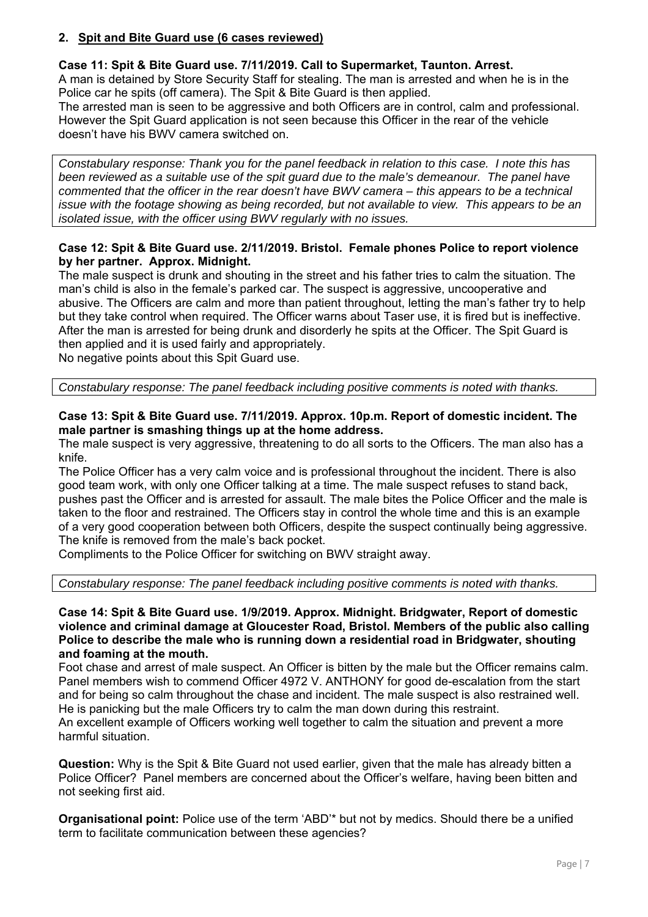#### **2. Spit and Bite Guard use (6 cases reviewed)**

#### **Case 11: Spit & Bite Guard use. 7/11/2019. Call to Supermarket, Taunton. Arrest.**

A man is detained by Store Security Staff for stealing. The man is arrested and when he is in the Police car he spits (off camera). The Spit & Bite Guard is then applied.

The arrested man is seen to be aggressive and both Officers are in control, calm and professional. However the Spit Guard application is not seen because this Officer in the rear of the vehicle doesn't have his BWV camera switched on.

*Constabulary response: Thank you for the panel feedback in relation to this case. I note this has been reviewed as a suitable use of the spit guard due to the male's demeanour. The panel have commented that the officer in the rear doesn't have BWV camera – this appears to be a technical issue with the footage showing as being recorded, but not available to view. This appears to be an isolated issue, with the officer using BWV regularly with no issues.* 

#### **Case 12: Spit & Bite Guard use. 2/11/2019. Bristol. Female phones Police to report violence by her partner. Approx. Midnight.**

The male suspect is drunk and shouting in the street and his father tries to calm the situation. The man's child is also in the female's parked car. The suspect is aggressive, uncooperative and abusive. The Officers are calm and more than patient throughout, letting the man's father try to help but they take control when required. The Officer warns about Taser use, it is fired but is ineffective. After the man is arrested for being drunk and disorderly he spits at the Officer. The Spit Guard is then applied and it is used fairly and appropriately.

No negative points about this Spit Guard use.

*Constabulary response: The panel feedback including positive comments is noted with thanks.* 

#### **Case 13: Spit & Bite Guard use. 7/11/2019. Approx. 10p.m. Report of domestic incident. The male partner is smashing things up at the home address.**

The male suspect is very aggressive, threatening to do all sorts to the Officers. The man also has a knife.

The Police Officer has a very calm voice and is professional throughout the incident. There is also good team work, with only one Officer talking at a time. The male suspect refuses to stand back, pushes past the Officer and is arrested for assault. The male bites the Police Officer and the male is taken to the floor and restrained. The Officers stay in control the whole time and this is an example of a very good cooperation between both Officers, despite the suspect continually being aggressive. The knife is removed from the male's back pocket.

Compliments to the Police Officer for switching on BWV straight away.

*Constabulary response: The panel feedback including positive comments is noted with thanks.* 

**Case 14: Spit & Bite Guard use. 1/9/2019. Approx. Midnight. Bridgwater, Report of domestic violence and criminal damage at Gloucester Road, Bristol. Members of the public also calling Police to describe the male who is running down a residential road in Bridgwater, shouting and foaming at the mouth.** 

Foot chase and arrest of male suspect. An Officer is bitten by the male but the Officer remains calm. Panel members wish to commend Officer 4972 V. ANTHONY for good de-escalation from the start and for being so calm throughout the chase and incident. The male suspect is also restrained well. He is panicking but the male Officers try to calm the man down during this restraint. An excellent example of Officers working well together to calm the situation and prevent a more harmful situation.

**Question:** Why is the Spit & Bite Guard not used earlier, given that the male has already bitten a Police Officer? Panel members are concerned about the Officer's welfare, having been bitten and not seeking first aid.

**Organisational point:** Police use of the term 'ABD'\* but not by medics. Should there be a unified term to facilitate communication between these agencies?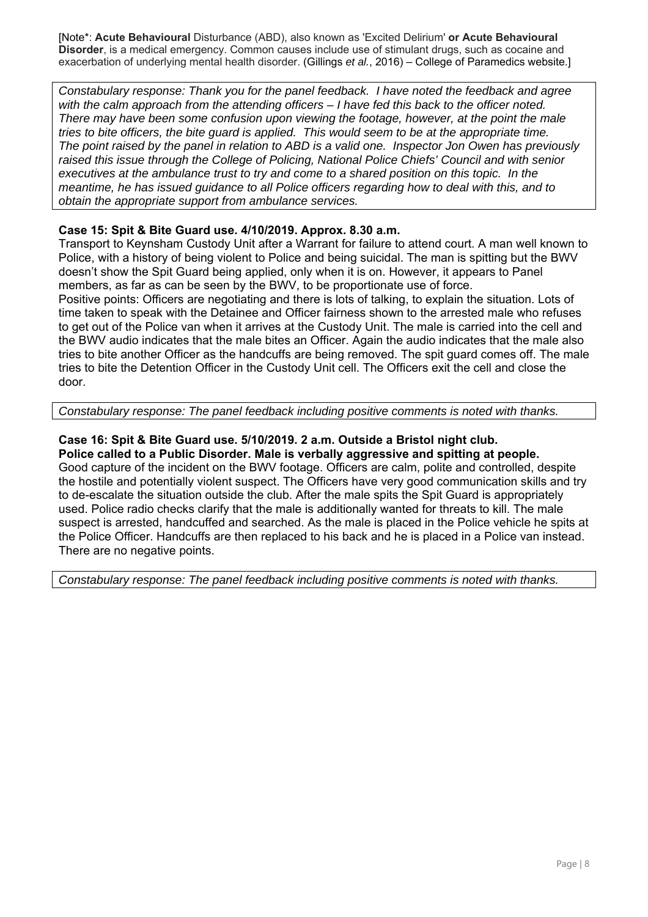[Note\*: **Acute Behavioural** Disturbance (ABD), also known as 'Excited Delirium' **or Acute Behavioural Disorder**, is a medical emergency. Common causes include use of stimulant drugs, such as cocaine and exacerbation of underlying mental health disorder. (Gillings *et al.*, 2016) – College of Paramedics website.]

*Constabulary response: Thank you for the panel feedback. I have noted the feedback and agree with the calm approach from the attending officers – I have fed this back to the officer noted. There may have been some confusion upon viewing the footage, however, at the point the male tries to bite officers, the bite guard is applied. This would seem to be at the appropriate time. The point raised by the panel in relation to ABD is a valid one. Inspector Jon Owen has previously raised this issue through the College of Policing, National Police Chiefs' Council and with senior executives at the ambulance trust to try and come to a shared position on this topic. In the meantime, he has issued guidance to all Police officers regarding how to deal with this, and to obtain the appropriate support from ambulance services.* 

#### **Case 15: Spit & Bite Guard use. 4/10/2019. Approx. 8.30 a.m.**

Transport to Keynsham Custody Unit after a Warrant for failure to attend court. A man well known to Police, with a history of being violent to Police and being suicidal. The man is spitting but the BWV doesn't show the Spit Guard being applied, only when it is on. However, it appears to Panel members, as far as can be seen by the BWV, to be proportionate use of force. Positive points: Officers are negotiating and there is lots of talking, to explain the situation. Lots of time taken to speak with the Detainee and Officer fairness shown to the arrested male who refuses to get out of the Police van when it arrives at the Custody Unit. The male is carried into the cell and the BWV audio indicates that the male bites an Officer. Again the audio indicates that the male also

tries to bite another Officer as the handcuffs are being removed. The spit guard comes off. The male tries to bite the Detention Officer in the Custody Unit cell. The Officers exit the cell and close the door.

*Constabulary response: The panel feedback including positive comments is noted with thanks.* 

## **Case 16: Spit & Bite Guard use. 5/10/2019. 2 a.m. Outside a Bristol night club.**

**Police called to a Public Disorder. Male is verbally aggressive and spitting at people.**  Good capture of the incident on the BWV footage. Officers are calm, polite and controlled, despite the hostile and potentially violent suspect. The Officers have very good communication skills and try to de-escalate the situation outside the club. After the male spits the Spit Guard is appropriately used. Police radio checks clarify that the male is additionally wanted for threats to kill. The male suspect is arrested, handcuffed and searched. As the male is placed in the Police vehicle he spits at the Police Officer. Handcuffs are then replaced to his back and he is placed in a Police van instead. There are no negative points.

*Constabulary response: The panel feedback including positive comments is noted with thanks.*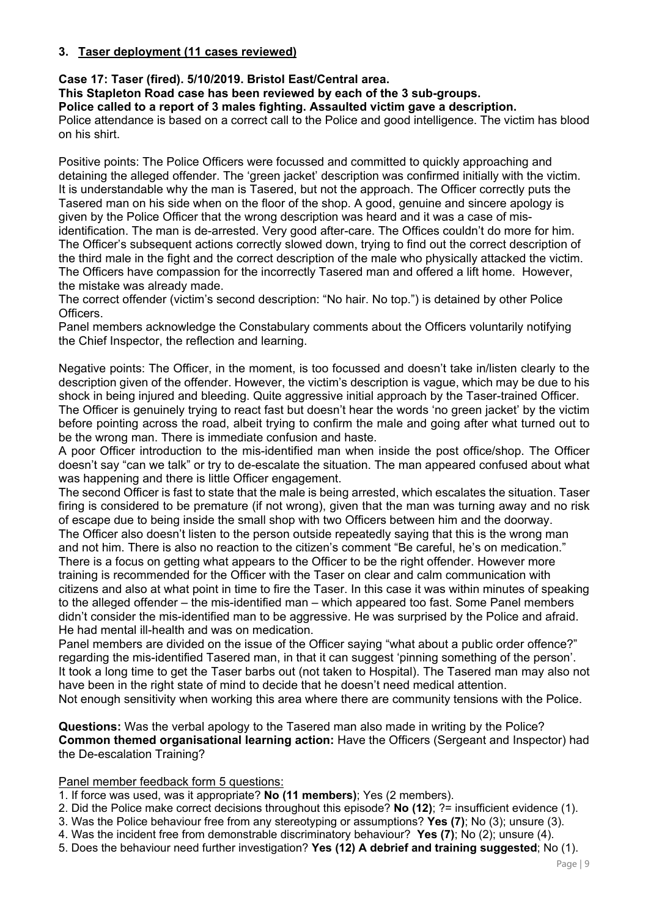#### **3. Taser deployment (11 cases reviewed)**

#### **Case 17: Taser (fired). 5/10/2019. Bristol East/Central area.**

**This Stapleton Road case has been reviewed by each of the 3 sub-groups.** 

**Police called to a report of 3 males fighting. Assaulted victim gave a description.** 

Police attendance is based on a correct call to the Police and good intelligence. The victim has blood on his shirt.

Positive points: The Police Officers were focussed and committed to quickly approaching and detaining the alleged offender. The 'green jacket' description was confirmed initially with the victim. It is understandable why the man is Tasered, but not the approach. The Officer correctly puts the Tasered man on his side when on the floor of the shop. A good, genuine and sincere apology is given by the Police Officer that the wrong description was heard and it was a case of misidentification. The man is de-arrested. Very good after-care. The Offices couldn't do more for him. The Officer's subsequent actions correctly slowed down, trying to find out the correct description of the third male in the fight and the correct description of the male who physically attacked the victim. The Officers have compassion for the incorrectly Tasered man and offered a lift home. However, the mistake was already made.

The correct offender (victim's second description: "No hair. No top.") is detained by other Police Officers.

Panel members acknowledge the Constabulary comments about the Officers voluntarily notifying the Chief Inspector, the reflection and learning.

Negative points: The Officer, in the moment, is too focussed and doesn't take in/listen clearly to the description given of the offender. However, the victim's description is vague, which may be due to his shock in being injured and bleeding. Quite aggressive initial approach by the Taser-trained Officer. The Officer is genuinely trying to react fast but doesn't hear the words 'no green jacket' by the victim before pointing across the road, albeit trying to confirm the male and going after what turned out to be the wrong man. There is immediate confusion and haste.

A poor Officer introduction to the mis-identified man when inside the post office/shop. The Officer doesn't say "can we talk" or try to de-escalate the situation. The man appeared confused about what was happening and there is little Officer engagement.

The second Officer is fast to state that the male is being arrested, which escalates the situation. Taser firing is considered to be premature (if not wrong), given that the man was turning away and no risk of escape due to being inside the small shop with two Officers between him and the doorway.

The Officer also doesn't listen to the person outside repeatedly saying that this is the wrong man and not him. There is also no reaction to the citizen's comment "Be careful, he's on medication." There is a focus on getting what appears to the Officer to be the right offender. However more

training is recommended for the Officer with the Taser on clear and calm communication with citizens and also at what point in time to fire the Taser. In this case it was within minutes of speaking to the alleged offender – the mis-identified man – which appeared too fast. Some Panel members didn't consider the mis-identified man to be aggressive. He was surprised by the Police and afraid. He had mental ill-health and was on medication.

Panel members are divided on the issue of the Officer saying "what about a public order offence?" regarding the mis-identified Tasered man, in that it can suggest 'pinning something of the person'. It took a long time to get the Taser barbs out (not taken to Hospital). The Tasered man may also not have been in the right state of mind to decide that he doesn't need medical attention. Not enough sensitivity when working this area where there are community tensions with the Police.

**Questions:** Was the verbal apology to the Tasered man also made in writing by the Police? **Common themed organisational learning action:** Have the Officers (Sergeant and Inspector) had the De-escalation Training?

#### Panel member feedback form 5 questions:

1. If force was used, was it appropriate? **No (11 members)**; Yes (2 members).

- 2. Did the Police make correct decisions throughout this episode? **No (12)**; ?= insufficient evidence (1).
- 3. Was the Police behaviour free from any stereotyping or assumptions? **Yes (7)**; No (3); unsure (3).
- 4. Was the incident free from demonstrable discriminatory behaviour? **Yes (7)**; No (2); unsure (4).
- 5. Does the behaviour need further investigation? **Yes (12) A debrief and training suggested**; No (1).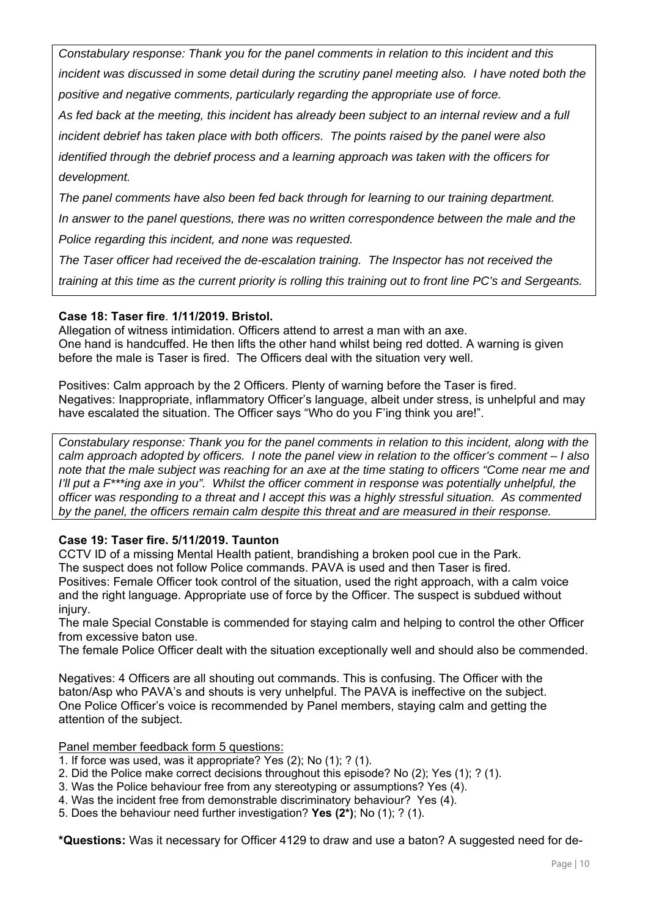*Constabulary response: Thank you for the panel comments in relation to this incident and this incident was discussed in some detail during the scrutiny panel meeting also. I have noted both the positive and negative comments, particularly regarding the appropriate use of force.* 

*As fed back at the meeting, this incident has already been subject to an internal review and a full incident debrief has taken place with both officers. The points raised by the panel were also identified through the debrief process and a learning approach was taken with the officers for* 

## *development.*

*The panel comments have also been fed back through for learning to our training department. In answer to the panel questions, there was no written correspondence between the male and the Police regarding this incident, and none was requested.* 

*The Taser officer had received the de-escalation training. The Inspector has not received the training at this time as the current priority is rolling this training out to front line PC's and Sergeants.* 

### **Case 18: Taser fire**. **1/11/2019. Bristol.**

Allegation of witness intimidation. Officers attend to arrest a man with an axe. One hand is handcuffed. He then lifts the other hand whilst being red dotted. A warning is given before the male is Taser is fired. The Officers deal with the situation very well.

Positives: Calm approach by the 2 Officers. Plenty of warning before the Taser is fired. Negatives: Inappropriate, inflammatory Officer's language, albeit under stress, is unhelpful and may have escalated the situation. The Officer says "Who do you F'ing think you are!".

*Constabulary response: Thank you for the panel comments in relation to this incident, along with the calm approach adopted by officers. I note the panel view in relation to the officer's comment – I also note that the male subject was reaching for an axe at the time stating to officers "Come near me and I'll put a F\*\*\*ing axe in you". Whilst the officer comment in response was potentially unhelpful, the officer was responding to a threat and I accept this was a highly stressful situation. As commented by the panel, the officers remain calm despite this threat and are measured in their response.* 

### **Case 19: Taser fire. 5/11/2019. Taunton**

CCTV ID of a missing Mental Health patient, brandishing a broken pool cue in the Park. The suspect does not follow Police commands. PAVA is used and then Taser is fired. Positives: Female Officer took control of the situation, used the right approach, with a calm voice and the right language. Appropriate use of force by the Officer. The suspect is subdued without injury.

The male Special Constable is commended for staying calm and helping to control the other Officer from excessive baton use.

The female Police Officer dealt with the situation exceptionally well and should also be commended.

Negatives: 4 Officers are all shouting out commands. This is confusing. The Officer with the baton/Asp who PAVA's and shouts is very unhelpful. The PAVA is ineffective on the subject. One Police Officer's voice is recommended by Panel members, staying calm and getting the attention of the subject.

Panel member feedback form 5 questions:

- 1. If force was used, was it appropriate? Yes (2); No (1); ? (1).
- 2. Did the Police make correct decisions throughout this episode? No (2); Yes (1); ? (1).
- 3. Was the Police behaviour free from any stereotyping or assumptions? Yes (4).
- 4. Was the incident free from demonstrable discriminatory behaviour? Yes (4).
- 5. Does the behaviour need further investigation? **Yes (2\*)**; No (1); ? (1).

**\*Questions:** Was it necessary for Officer 4129 to draw and use a baton? A suggested need for de-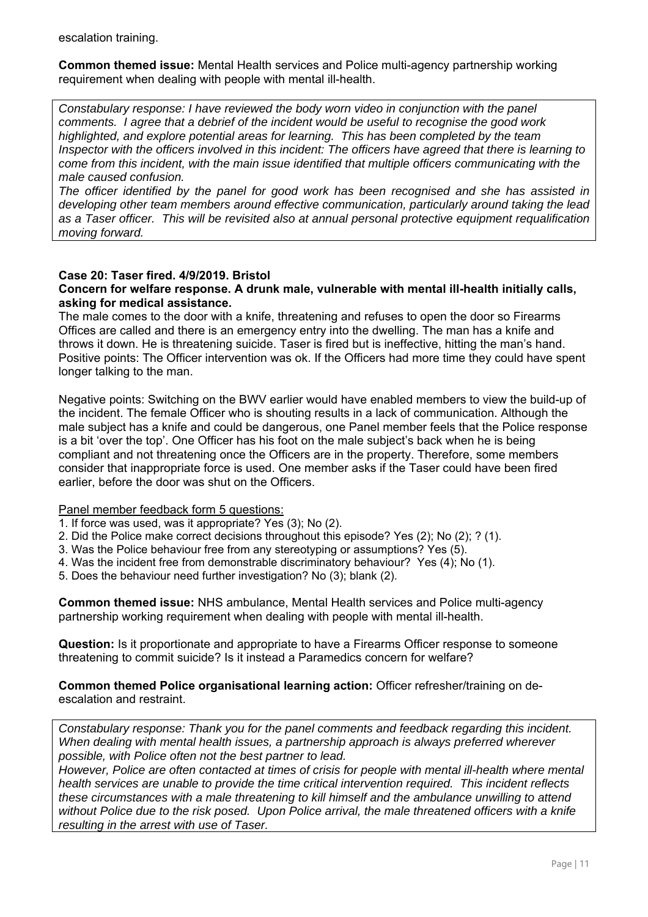escalation training.

**Common themed issue:** Mental Health services and Police multi-agency partnership working requirement when dealing with people with mental ill-health.

*Constabulary response: I have reviewed the body worn video in conjunction with the panel comments. I agree that a debrief of the incident would be useful to recognise the good work highlighted, and explore potential areas for learning. This has been completed by the team Inspector with the officers involved in this incident: The officers have agreed that there is learning to come from this incident, with the main issue identified that multiple officers communicating with the male caused confusion.* 

*The officer identified by the panel for good work has been recognised and she has assisted in developing other team members around effective communication, particularly around taking the lead as a Taser officer. This will be revisited also at annual personal protective equipment requalification moving forward.* 

#### **Case 20: Taser fired. 4/9/2019. Bristol**

#### **Concern for welfare response. A drunk male, vulnerable with mental ill-health initially calls, asking for medical assistance.**

The male comes to the door with a knife, threatening and refuses to open the door so Firearms Offices are called and there is an emergency entry into the dwelling. The man has a knife and throws it down. He is threatening suicide. Taser is fired but is ineffective, hitting the man's hand. Positive points: The Officer intervention was ok. If the Officers had more time they could have spent longer talking to the man.

Negative points: Switching on the BWV earlier would have enabled members to view the build-up of the incident. The female Officer who is shouting results in a lack of communication. Although the male subject has a knife and could be dangerous, one Panel member feels that the Police response is a bit 'over the top'. One Officer has his foot on the male subject's back when he is being compliant and not threatening once the Officers are in the property. Therefore, some members consider that inappropriate force is used. One member asks if the Taser could have been fired earlier, before the door was shut on the Officers.

Panel member feedback form 5 questions:

- 1. If force was used, was it appropriate? Yes (3); No (2).
- 2. Did the Police make correct decisions throughout this episode? Yes (2); No (2); ? (1).
- 3. Was the Police behaviour free from any stereotyping or assumptions? Yes (5).
- 4. Was the incident free from demonstrable discriminatory behaviour? Yes (4); No (1).
- 5. Does the behaviour need further investigation? No (3); blank (2).

**Common themed issue:** NHS ambulance, Mental Health services and Police multi-agency partnership working requirement when dealing with people with mental ill-health.

**Question:** Is it proportionate and appropriate to have a Firearms Officer response to someone threatening to commit suicide? Is it instead a Paramedics concern for welfare?

#### **Common themed Police organisational learning action:** Officer refresher/training on deescalation and restraint.

*Constabulary response: Thank you for the panel comments and feedback regarding this incident. When dealing with mental health issues, a partnership approach is always preferred wherever possible, with Police often not the best partner to lead.* 

*However, Police are often contacted at times of crisis for people with mental ill-health where mental health services are unable to provide the time critical intervention required. This incident reflects these circumstances with a male threatening to kill himself and the ambulance unwilling to attend without Police due to the risk posed. Upon Police arrival, the male threatened officers with a knife resulting in the arrest with use of Taser.*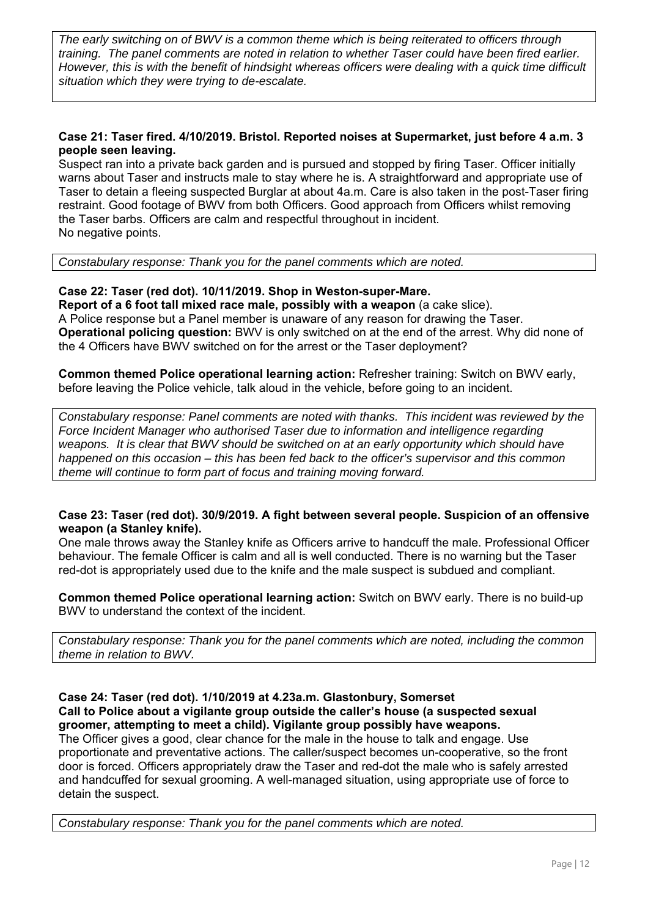*The early switching on of BWV is a common theme which is being reiterated to officers through training. The panel comments are noted in relation to whether Taser could have been fired earlier. However, this is with the benefit of hindsight whereas officers were dealing with a quick time difficult situation which they were trying to de-escalate.* 

#### **Case 21: Taser fired. 4/10/2019. Bristol. Reported noises at Supermarket, just before 4 a.m. 3 people seen leaving.**

Suspect ran into a private back garden and is pursued and stopped by firing Taser. Officer initially warns about Taser and instructs male to stay where he is. A straightforward and appropriate use of Taser to detain a fleeing suspected Burglar at about 4a.m. Care is also taken in the post-Taser firing restraint. Good footage of BWV from both Officers. Good approach from Officers whilst removing the Taser barbs. Officers are calm and respectful throughout in incident. No negative points.

*Constabulary response: Thank you for the panel comments which are noted.* 

#### **Case 22: Taser (red dot). 10/11/2019. Shop in Weston-super-Mare.**

**Report of a 6 foot tall mixed race male, possibly with a weapon** (a cake slice). A Police response but a Panel member is unaware of any reason for drawing the Taser. **Operational policing question:** BWV is only switched on at the end of the arrest. Why did none of the 4 Officers have BWV switched on for the arrest or the Taser deployment?

**Common themed Police operational learning action:** Refresher training: Switch on BWV early, before leaving the Police vehicle, talk aloud in the vehicle, before going to an incident.

*Constabulary response: Panel comments are noted with thanks. This incident was reviewed by the Force Incident Manager who authorised Taser due to information and intelligence regarding weapons. It is clear that BWV should be switched on at an early opportunity which should have happened on this occasion – this has been fed back to the officer's supervisor and this common theme will continue to form part of focus and training moving forward.* 

#### **Case 23: Taser (red dot). 30/9/2019. A fight between several people. Suspicion of an offensive weapon (a Stanley knife).**

One male throws away the Stanley knife as Officers arrive to handcuff the male. Professional Officer behaviour. The female Officer is calm and all is well conducted. There is no warning but the Taser red-dot is appropriately used due to the knife and the male suspect is subdued and compliant.

**Common themed Police operational learning action:** Switch on BWV early. There is no build-up BWV to understand the context of the incident.

*Constabulary response: Thank you for the panel comments which are noted, including the common theme in relation to BWV.* 

#### **Case 24: Taser (red dot). 1/10/2019 at 4.23a.m. Glastonbury, Somerset**

**Call to Police about a vigilante group outside the caller's house (a suspected sexual groomer, attempting to meet a child). Vigilante group possibly have weapons.** 

The Officer gives a good, clear chance for the male in the house to talk and engage. Use proportionate and preventative actions. The caller/suspect becomes un-cooperative, so the front door is forced. Officers appropriately draw the Taser and red-dot the male who is safely arrested and handcuffed for sexual grooming. A well-managed situation, using appropriate use of force to detain the suspect.

*Constabulary response: Thank you for the panel comments which are noted.*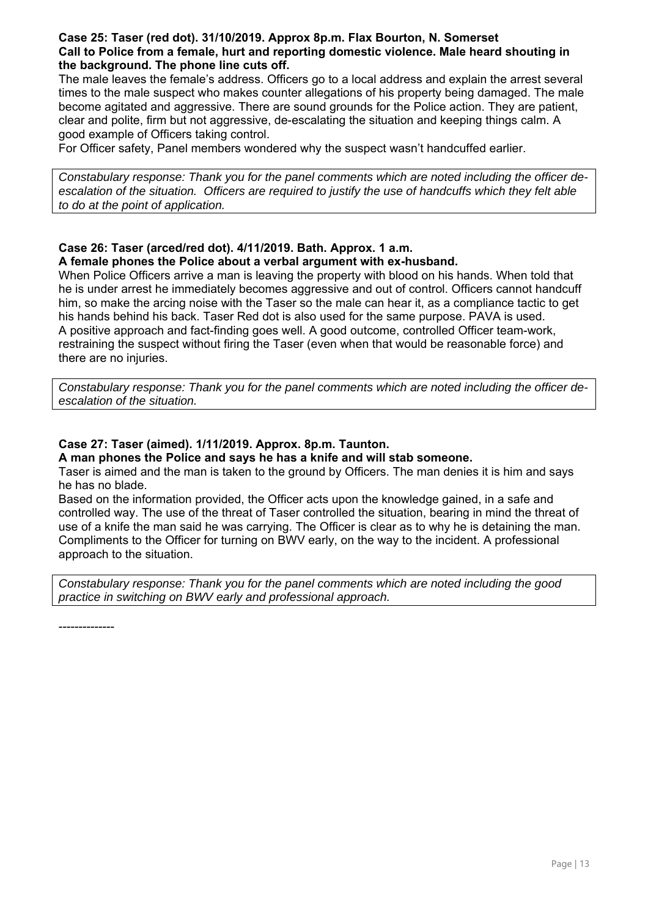#### **Case 25: Taser (red dot). 31/10/2019. Approx 8p.m. Flax Bourton, N. Somerset Call to Police from a female, hurt and reporting domestic violence. Male heard shouting in the background. The phone line cuts off.**

The male leaves the female's address. Officers go to a local address and explain the arrest several times to the male suspect who makes counter allegations of his property being damaged. The male become agitated and aggressive. There are sound grounds for the Police action. They are patient, clear and polite, firm but not aggressive, de-escalating the situation and keeping things calm. A good example of Officers taking control.

For Officer safety, Panel members wondered why the suspect wasn't handcuffed earlier.

*Constabulary response: Thank you for the panel comments which are noted including the officer deescalation of the situation. Officers are required to justify the use of handcuffs which they felt able to do at the point of application.* 

#### **Case 26: Taser (arced/red dot). 4/11/2019. Bath. Approx. 1 a.m. A female phones the Police about a verbal argument with ex-husband.**

When Police Officers arrive a man is leaving the property with blood on his hands. When told that he is under arrest he immediately becomes aggressive and out of control. Officers cannot handcuff him, so make the arcing noise with the Taser so the male can hear it, as a compliance tactic to get his hands behind his back. Taser Red dot is also used for the same purpose. PAVA is used. A positive approach and fact-finding goes well. A good outcome, controlled Officer team-work, restraining the suspect without firing the Taser (even when that would be reasonable force) and there are no injuries.

*Constabulary response: Thank you for the panel comments which are noted including the officer deescalation of the situation.* 

#### **Case 27: Taser (aimed). 1/11/2019. Approx. 8p.m. Taunton.**

**A man phones the Police and says he has a knife and will stab someone.** 

Taser is aimed and the man is taken to the ground by Officers. The man denies it is him and says he has no blade.

Based on the information provided, the Officer acts upon the knowledge gained, in a safe and controlled way. The use of the threat of Taser controlled the situation, bearing in mind the threat of use of a knife the man said he was carrying. The Officer is clear as to why he is detaining the man. Compliments to the Officer for turning on BWV early, on the way to the incident. A professional approach to the situation.

*Constabulary response: Thank you for the panel comments which are noted including the good practice in switching on BWV early and professional approach.* 

--------------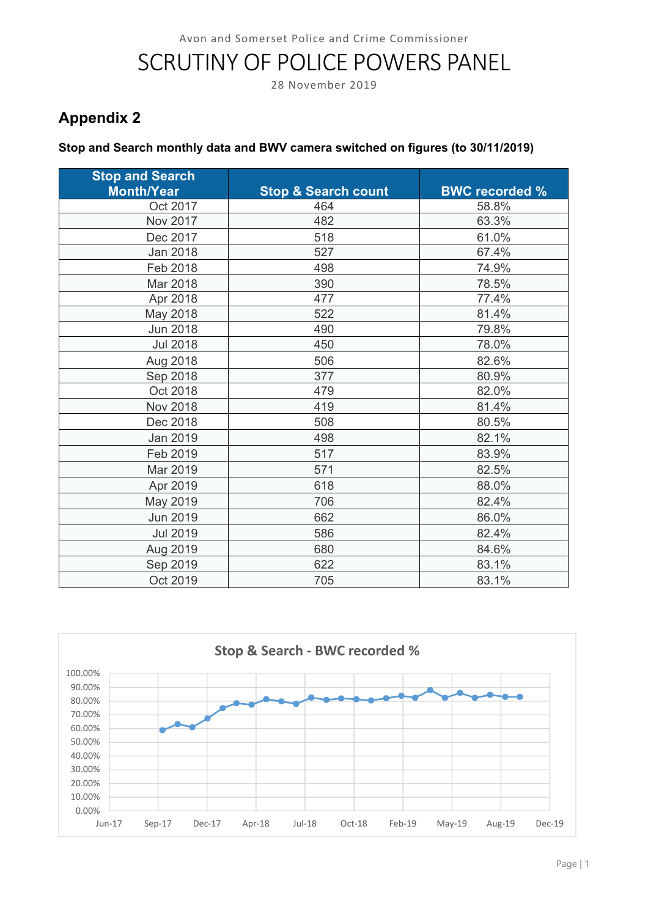# SCRUTINY OF POLICE POWERS PANEL

28 November 2019

# **Appendix 2**

#### **Stop and Search monthly data and BWV camera switched on figures (to 30/11/2019)**

| <b>Stop and Search</b><br><b>Month/Year</b> | <b>Stop &amp; Search count</b> | <b>BWC recorded %</b> |
|---------------------------------------------|--------------------------------|-----------------------|
| Oct 2017                                    | 464                            | 58.8%                 |
| Nov 2017                                    | 482                            | 63.3%                 |
| Dec 2017                                    | 518                            | 61.0%                 |
| Jan 2018                                    | 527                            | 67.4%                 |
| Feb 2018                                    | 498                            | 74.9%                 |
| Mar 2018                                    | 390                            | 78.5%                 |
| Apr 2018                                    | 477                            | 77.4%                 |
| May 2018                                    | 522                            | 81.4%                 |
| <b>Jun 2018</b>                             | 490                            | 79.8%                 |
| <b>Jul 2018</b>                             | 450                            | 78.0%                 |
| Aug 2018                                    | 506                            | 82.6%                 |
| Sep 2018                                    | 377                            | 80.9%                 |
| Oct 2018                                    | 479                            | 82.0%                 |
| <b>Nov 2018</b>                             | 419                            | 81.4%                 |
| Dec 2018                                    | 508                            | 80.5%                 |
| Jan 2019                                    | 498                            | 82.1%                 |
| Feb 2019                                    | 517                            | 83.9%                 |
| Mar 2019                                    | 571                            | 82.5%                 |
| Apr 2019                                    | 618                            | 88.0%                 |
| May 2019                                    | 706                            | 82.4%                 |
| <b>Jun 2019</b>                             | 662                            | 86.0%                 |
| <b>Jul 2019</b>                             | 586                            | 82.4%                 |
| Aug 2019                                    | 680                            | 84.6%                 |
| Sep 2019                                    | 622                            | 83.1%                 |
| Oct 2019                                    | 705                            | 83.1%                 |